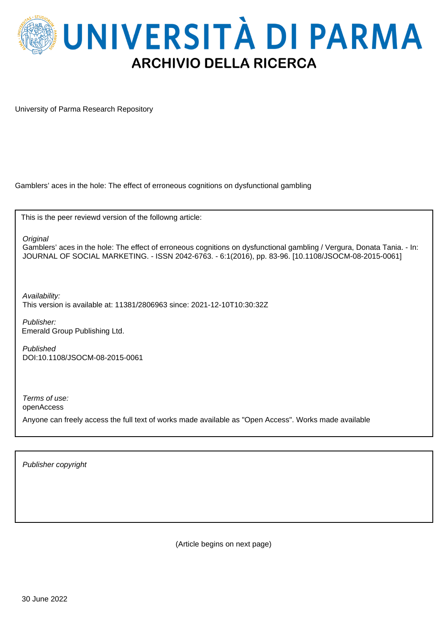

University of Parma Research Repository

Gamblers' aces in the hole: The effect of erroneous cognitions on dysfunctional gambling

This is the peer reviewd version of the followng article:

**Original** 

Gamblers' aces in the hole: The effect of erroneous cognitions on dysfunctional gambling / Vergura, Donata Tania. - In: JOURNAL OF SOCIAL MARKETING. - ISSN 2042-6763. - 6:1(2016), pp. 83-96. [10.1108/JSOCM-08-2015-0061]

Availability: This version is available at: 11381/2806963 since: 2021-12-10T10:30:32Z

Publisher: Emerald Group Publishing Ltd.

Published DOI:10.1108/JSOCM-08-2015-0061

Terms of use: openAccess

Anyone can freely access the full text of works made available as "Open Access". Works made available

Publisher copyright

(Article begins on next page)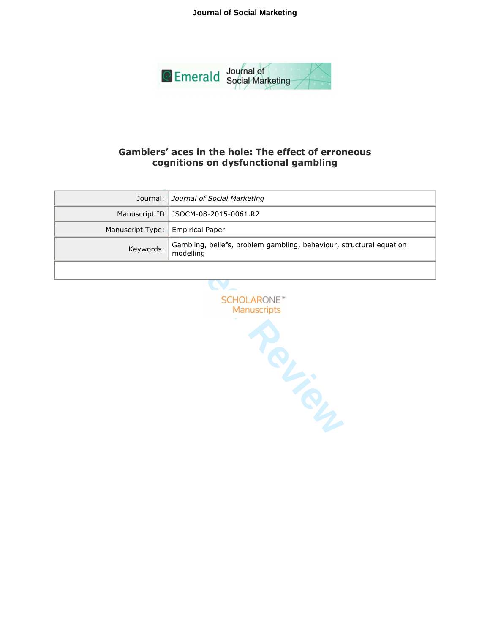**Journal of Social Marketing**



# **Gamblers' aces in the hole: The effect of erroneous cognitions on dysfunctional gambling**

|                                    | Journal:   Journal of Social Marketing                                           |
|------------------------------------|----------------------------------------------------------------------------------|
|                                    | Manuscript ID   JSOCM-08-2015-0061.R2                                            |
| Manuscript Type:   Empirical Paper |                                                                                  |
| Keywords:                          | Gambling, beliefs, problem gambling, behaviour, structural equation<br>modelling |
|                                    |                                                                                  |

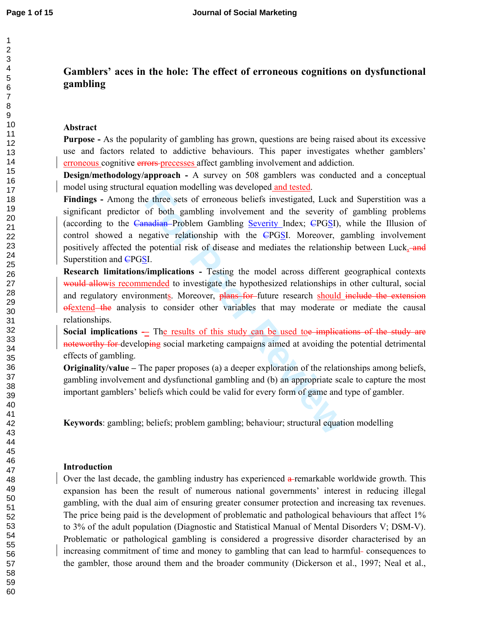# **Gamblers' aces in the hole: The effect of erroneous cognitions on dysfunctional gambling**

### **Abstract**

**Purpose -** As the popularity of gambling has grown, questions are being raised about its excessive use and factors related to addictive behaviours. This paper investigates whether gamblers' erroneous cognitive errors precesses affect gambling involvement and addiction.

**Design/methodology/approach -** A survey on 508 gamblers was conducted and a conceptual model using structural equation modelling was developed and tested.

equation moderning was developed <u>and itsed</u>.<br>
e three sets of erroneous beliefs investigated, Luck a<br>
of both gambling involvement and the severity of<br>
madian-Problem Gambling Severity Index; CPGSI),<br>
gative relationship **Findings -** Among the three sets of erroneous beliefs investigated, Luck and Superstition was a significant predictor of both gambling involvement and the severity of gambling problems (according to the Canadian-Problem Gambling Severity Index; CPGSI), while the Illusion of control showed a negative relationship with the  $CPGSL$ . Moreover, gambling involvement positively affected the potential risk of disease and mediates the relationship between Luck, and Superstition and CPGSI.

**Research limitations/implications -** Testing the model across different geographical contexts would allowis recommended to investigate the hypothesized relationships in other cultural, social and regulatory environments. Moreover, plans for future research should include the extension ofextend the analysis to consider other variables that may moderate or mediate the causal relationships.

Social implications – The results of this study can be used toe implications of the study are noteworthy for developing social marketing campaigns aimed at avoiding the potential detrimental effects of gambling.

**Originality/value –** The paper proposes (a) a deeper exploration of the relationships among beliefs, gambling involvement and dysfunctional gambling and (b) an appropriate scale to capture the most important gamblers' beliefs which could be valid for every form of game and type of gambler.

**Keywords**: gambling; beliefs; problem gambling; behaviour; structural equation modelling

### **Introduction**

Over the last decade, the gambling industry has experienced  $\alpha$ -remarkable worldwide growth. This expansion has been the result of numerous national governments' interest in reducing illegal gambling, with the dual aim of ensuring greater consumer protection and increasing tax revenues. The price being paid is the development of problematic and pathological behaviours that affect 1% to 3% of the adult population (Diagnostic and Statistical Manual of Mental Disorders V; DSM-V). Problematic or pathological gambling is considered a progressive disorder characterised by an increasing commitment of time and money to gambling that can lead to harmful-consequences to the gambler, those around them and the broader community (Dickerson et al., 1997; Neal et al.,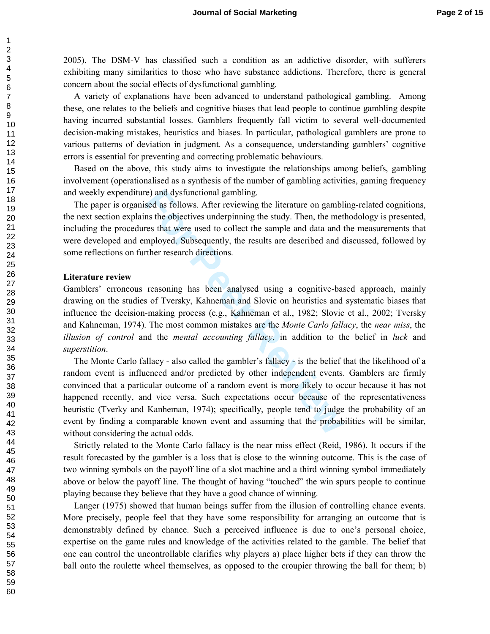2005). The DSM-V has classified such a condition as an addictive disorder, with sufferers exhibiting many similarities to those who have substance addictions. Therefore, there is general concern about the social effects of dysfunctional gambling.

A variety of explanations have been advanced to understand pathological gambling. Among these, one relates to the beliefs and cognitive biases that lead people to continue gambling despite having incurred substantial losses. Gamblers frequently fall victim to several well-documented decision-making mistakes, heuristics and biases. In particular, pathological gamblers are prone to various patterns of deviation in judgment. As a consequence, understanding gamblers' cognitive errors is essential for preventing and correcting problematic behaviours.

Based on the above, this study aims to investigate the relationships among beliefs, gambling involvement (operationalised as a synthesis of the number of gambling activities, gaming frequency and weekly expenditure) and dysfunctional gambling.

The paper is organised as follows. After reviewing the literature on gambling-related cognitions, the next section explains the objectives underpinning the study. Then, the methodology is presented, including the procedures that were used to collect the sample and data and the measurements that were developed and employed. Subsequently, the results are described and discussed, followed by some reflections on further research directions.

#### **Literature review**

Gamblers' erroneous reasoning has been analysed using a cognitive-based approach, mainly drawing on the studies of Tversky, Kahneman and Slovic on heuristics and systematic biases that influence the decision-making process (e.g., Kahneman et al., 1982; Slovic et al., 2002; Tversky and Kahneman, 1974). The most common mistakes are the *Monte Carlo fallacy*, the *near miss*, the *illusion of control* and the *mental accounting fallacy*, in addition to the belief in *luck* and *superstition*.

For an dysfunctional gambling.<br> **For also as follows.** After reviewing the literature on gambl<br>
Ins the objectives underpinning the study. Then, the met<br>
res that were used to collect the sample and data and imployed. Subs The Monte Carlo fallacy - also called the gambler's fallacy - is the belief that the likelihood of a random event is influenced and/or predicted by other independent events. Gamblers are firmly convinced that a particular outcome of a random event is more likely to occur because it has not happened recently, and vice versa. Such expectations occur because of the representativeness heuristic (Tverky and Kanheman, 1974); specifically, people tend to judge the probability of an event by finding a comparable known event and assuming that the probabilities will be similar, without considering the actual odds.

Strictly related to the Monte Carlo fallacy is the near miss effect (Reid, 1986). It occurs if the result forecasted by the gambler is a loss that is close to the winning outcome. This is the case of two winning symbols on the payoff line of a slot machine and a third winning symbol immediately above or below the payoff line. The thought of having "touched" the win spurs people to continue playing because they believe that they have a good chance of winning.

Langer (1975) showed that human beings suffer from the illusion of controlling chance events. More precisely, people feel that they have some responsibility for arranging an outcome that is demonstrably defined by chance. Such a perceived influence is due to one's personal choice, expertise on the game rules and knowledge of the activities related to the gamble. The belief that one can control the uncontrollable clarifies why players a) place higher bets if they can throw the ball onto the roulette wheel themselves, as opposed to the croupier throwing the ball for them; b)

 $\mathbf{1}$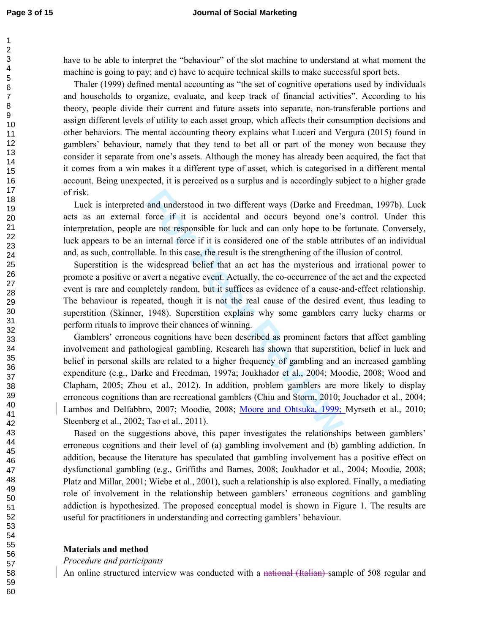#### **Page 3 of 15 Journal of Social Marketing**

have to be able to interpret the "behaviour" of the slot machine to understand at what moment the machine is going to pay; and c) have to acquire technical skills to make successful sport bets.

Thaler (1999) defined mental accounting as "the set of cognitive operations used by individuals and households to organize, evaluate, and keep track of financial activities". According to his theory, people divide their current and future assets into separate, non-transferable portions and assign different levels of utility to each asset group, which affects their consumption decisions and other behaviors. The mental accounting theory explains what Luceri and Vergura (2015) found in gamblers' behaviour, namely that they tend to bet all or part of the money won because they consider it separate from one's assets. Although the money has already been acquired, the fact that it comes from a win makes it a different type of asset, which is categorised in a different mental account. Being unexpected, it is perceived as a surplus and is accordingly subject to a higher grade of risk.

Luck is interpreted and understood in two different ways (Darke and Freedman, 1997b). Luck acts as an external force if it is accidental and occurs beyond one's control. Under this interpretation, people are not responsible for luck and can only hope to be fortunate. Conversely, luck appears to be an internal force if it is considered one of the stable attributes of an individual and, as such, controllable. In this case, the result is the strengthening of the illusion of control.

Superstition is the widespread belief that an act has the mysterious and irrational power to promote a positive or avert a negative event. Actually, the co-occurrence of the act and the expected event is rare and completely random, but it suffices as evidence of a cause-and-effect relationship. The behaviour is repeated, though it is not the real cause of the desired event, thus leading to superstition (Skinner, 1948). Superstition explains why some gamblers carry lucky charms or perform rituals to improve their chances of winning.

and understood in two different ways (Darke and Fraction Comparation and occurs beyond one's are not responsible for luck and can only hope to be internal force if it is considered one of the stable attrible. In this case Gamblers' erroneous cognitions have been described as prominent factors that affect gambling involvement and pathological gambling. Research has shown that superstition, belief in luck and belief in personal skills are related to a higher frequency of gambling and an increased gambling expenditure (e.g., Darke and Freedman, 1997a; Joukhador et al., 2004; Moodie, 2008; Wood and Clapham, 2005; Zhou et al., 2012). In addition, problem gamblers are more likely to display erroneous cognitions than are recreational gamblers (Chiu and Storm, 2010; Jouchador et al., 2004; Lambos and Delfabbro, 2007; Moodie, 2008; Moore and Ohtsuka, 1999; Myrseth et al., 2010; Steenberg et al., 2002; Tao et al., 2011).

Based on the suggestions above, this paper investigates the relationships between gamblers' erroneous cognitions and their level of (a) gambling involvement and (b) gambling addiction. In addition, because the literature has speculated that gambling involvement has a positive effect on dysfunctional gambling (e.g., Griffiths and Barnes, 2008; Joukhador et al., 2004; Moodie, 2008; Platz and Millar, 2001; Wiebe et al., 2001), such a relationship is also explored. Finally, a mediating role of involvement in the relationship between gamblers' erroneous cognitions and gambling addiction is hypothesized. The proposed conceptual model is shown in Figure 1. The results are useful for practitioners in understanding and correcting gamblers' behaviour.

#### **Materials and method**

#### *Procedure and participants*

An online structured interview was conducted with a national (Italian) sample of 508 regular and

60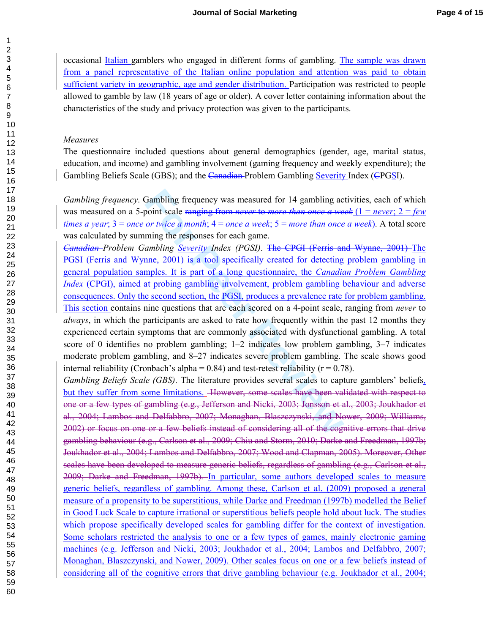occasional Italian gamblers who engaged in different forms of gambling. The sample was drawn from a panel representative of the Italian online population and attention was paid to obtain sufficient variety in geographic, age and gender distribution. Participation was restricted to people allowed to gamble by law (18 years of age or older). A cover letter containing information about the characteristics of the study and privacy protection was given to the participants.

### *Measures*

The questionnaire included questions about general demographics (gender, age, marital status, education, and income) and gambling involvement (gaming frequency and weekly expenditure); the Gambling Beliefs Scale (GBS); and the Canadian Problem Gambling Severity Index (CPGSI).

*Gambling frequency*. Gambling frequency was measured for 14 gambling activities, each of which was measured on a 5-point scale ranging from *never* to *more than once a week* (1 = *never*; 2 = *few times a year*; 3 = *once or twice a month*; 4 = *once a week*; 5 = *more than once a week*). A total score was calculated by summing the responses for each game.

Gambling frequency was measured for 14 gambling account scale ranging from *never* to *more than once a we* or *twice a month*;  $4 = once a week; 5 = more than once  
ming the responses for each game.  
ambling Serverity Index (PGSI). The CPGI (Ferris anme, 2001) is a tool specifically created for detecting  
mmes, 2001) is a tool specifically created for detecting  
imples. It is part of a long questionnaire,$ *Canadian Problem Gambling Severity Index (PGSI)*. The CPGI (Ferris and Wynne, 2001) The PGSI (Ferris and Wynne, 2001) is a tool specifically created for detecting problem gambling in general population samples. It is part of a long questionnaire, the *Canadian Problem Gambling Index* (CPGI), aimed at probing gambling involvement, problem gambling behaviour and adverse consequences. Only the second section, the PGSI, produces a prevalence rate for problem gambling. This section contains nine questions that are each scored on a 4-point scale, ranging from *never* to *always*, in which the participants are asked to rate how frequently within the past 12 months they experienced certain symptoms that are commonly associated with dysfunctional gambling. A total score of 0 identifies no problem gambling; 1–2 indicates low problem gambling, 3–7 indicates moderate problem gambling, and 8–27 indicates severe problem gambling. The scale shows good internal reliability (Cronbach's alpha =  $0.84$ ) and test-retest reliability ( $r = 0.78$ ).

*Gambling Beliefs Scale (GBS)*. The literature provides several scales to capture gamblers' beliefs, but they suffer from some limitations. However, some scales have been validated with respect to one or a few types of gambling (e.g., Jefferson and Nicki, 2003; Jonsson et al., 2003; Joukhador et al., 2004; Lambos and Delfabbro, 2007; Monaghan, Blaszczynski, and Nower, 2009; Williams, 2002) or focus on one or a few beliefs instead of considering all of the cognitive errors that drive gambling behaviour (e.g., Carlson et al., 2009; Chiu and Storm, 2010; Darke and Freedman, 1997b; Joukhador et al., 2004; Lambos and Delfabbro, 2007; Wood and Clapman, 2005). Moreover, Other scales have been developed to measure generic beliefs, regardless of gambling (e.g., Carlson et al., 2009; Darke and Freedman, 1997b). In particular, some authors developed scales to measure generic beliefs, regardless of gambling. Among these, Carlson et al. (2009) proposed a general measure of a propensity to be superstitious, while Darke and Freedman (1997b) modelled the Belief in Good Luck Scale to capture irrational or superstitious beliefs people hold about luck. The studies which propose specifically developed scales for gambling differ for the context of investigation. Some scholars restricted the analysis to one or a few types of games, mainly electronic gaming machine s (e.g. Jefferson and Nicki, 2003; Joukhador et al., 2004; Lambos and Delfabbro, 2007; Monaghan, Blaszczynski, and Nower, 2009). Other scales focus on one or a few beliefs instead of considering all of the cognitive errors that drive gambling behaviour (e.g. Joukhador et al., 2004;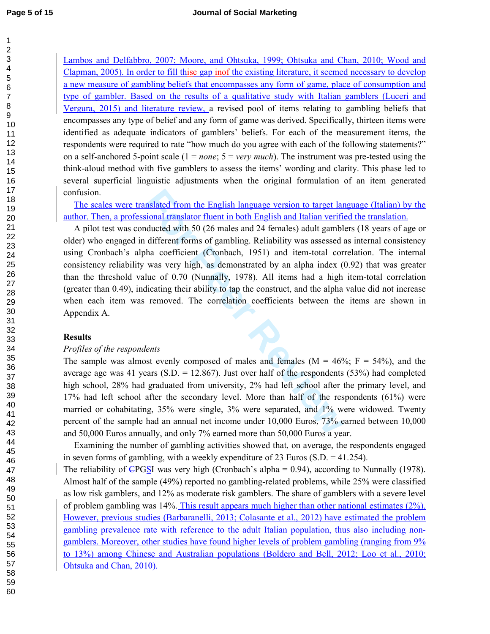Lambos and Delfabbro, 2007; Moore, and Ohtsuka, 1999; Ohtsuka and Chan, 2010; Wood and Clapman, 2005). In order to fill thise gap inof the existing literature, it seemed necessary to develop a new measure of gambling beliefs that encompasses any form of game, place of consumption and type of gambler. Based on the results of a qualitative study with Italian gamblers (Luceri and Vergura, 2015) and literature review, a revised pool of items relating to gambling beliefs that encompasses any type of belief and any form of game was derived. Specifically, thirteen items were identified as adequate indicators of gamblers' beliefs. For each of the measurement items, the respondents were required to rate "how much do you agree with each of the following statements?" on a self-anchored 5-point scale (1 = *none*; 5 = *very much*). The instrument was pre-tested using the think-aloud method with five gamblers to assess the items' wording and clarity. This phase led to several superficial linguistic adjustments when the original formulation of an item generated confusion.

The scales were translated from the English language version to target language (Italian) by the author. Then, a professional translator fluent in both English and Italian verified the translation.

**Instant 1 Formular Confidential Example 1 Formal translator fluent in both English and Italian verifid<br>
ducted with 50 (26 males and 24 females) adult gambl<br>
different forms of gambling. Reliability was assessed tha<br>** A pilot test was conducted with 50 (26 males and 24 females) adult gamblers (18 years of age or older) who engaged in different forms of gambling. Reliability was assessed as internal consistency using Cronbach's alpha coefficient (Cronbach, 1951) and item-total correlation. The internal consistency reliability was very high, as demonstrated by an alpha index (0.92) that was greater than the threshold value of 0.70 (Nunnally, 1978). All items had a high item-total correlation (greater than 0.49), indicating their ability to tap the construct, and the alpha value did not increase when each item was removed. The correlation coefficients between the items are shown in Appendix A.

### **Results**

### *Profiles of the respondents*

The sample was almost evenly composed of males and females ( $M = 46\%$ ;  $F = 54\%$ ), and the average age was 41 years (S.D.  $= 12.867$ ). Just over half of the respondents (53%) had completed high school, 28% had graduated from university, 2% had left school after the primary level, and 17% had left school after the secondary level. More than half of the respondents (61%) were married or cohabitating, 35% were single, 3% were separated, and 1% were widowed. Twenty percent of the sample had an annual net income under 10,000 Euros, 73% earned between 10,000 and 50,000 Euros annually, and only 7% earned more than 50,000 Euros a year.

Examining the number of gambling activities showed that, on average, the respondents engaged in seven forms of gambling, with a weekly expenditure of 23 Euros (S.D. = 41.254).

The reliability of  $CPGSL$  was very high (Cronbach's alpha = 0.94), according to Nunnally (1978). Almost half of the sample (49%) reported no gambling-related problems, while 25% were classified as low risk gamblers, and 12% as moderate risk gamblers. The share of gamblers with a severe level of problem gambling was 14%. This result appears much higher than other national estimates (2%). However, previous studies (Barbaranelli, 2013; Colasante et al., 2012) have estimated the problem gambling prevalence rate with reference to the adult Italian population, thus also including nongamblers. Moreover, other studies have found higher levels of problem gambling (ranging from 9% to 13%) among Chinese and Australian populations (Boldero and Bell, 2012; Loo et al., 2010; Ohtsuka and Chan, 2010).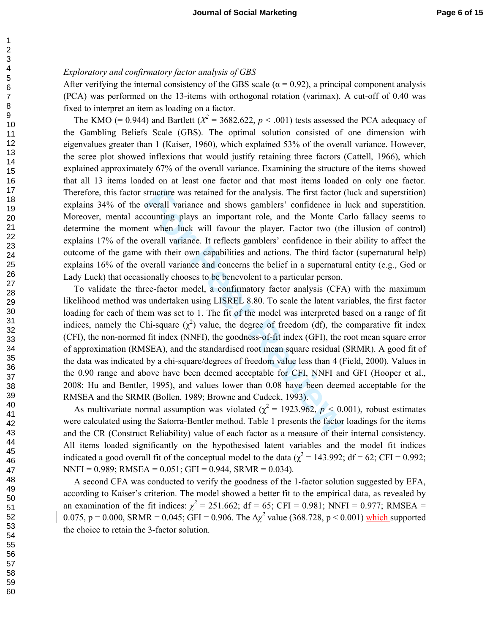#### *Exploratory and confirmatory factor analysis of GBS*

After verifying the internal consistency of the GBS scale ( $\alpha$  = 0.92), a principal component analysis (PCA) was performed on the 13-items with orthogonal rotation (varimax). A cut-off of 0.40 was fixed to interpret an item as loading on a factor.

The KMO (= 0.944) and Bartlett ( $X^2$  = 3682.622,  $p$  < .001) tests assessed the PCA adequacy of the Gambling Beliefs Scale (GBS). The optimal solution consisted of one dimension with eigenvalues greater than 1 (Kaiser, 1960), which explained 53% of the overall variance. However, the scree plot showed inflexions that would justify retaining three factors (Cattell, 1966), which explained approximately 67% of the overall variance. Examining the structure of the items showed that all 13 items loaded on at least one factor and that most items loaded on only one factor*.*  Therefore, this factor structure was retained for the analysis. The first factor (luck and superstition) explains 34% of the overall variance and shows gamblers' confidence in luck and superstition. Moreover, mental accounting plays an important role, and the Monte Carlo fallacy seems to determine the moment when luck will favour the player. Factor two (the illusion of control) explains 17% of the overall variance. It reflects gamblers' confidence in their ability to affect the outcome of the game with their own capabilities and actions. The third factor (supernatural help) explains 16% of the overall variance and concerns the belief in a supernatural entity (e.g., God or Lady Luck) that occasionally chooses to be benevolent to a particular person.

structure was retained for the analysis. The first factor overall variance and shows gamblers' confidence in counting plays an important role, and the Monte C are wounting plays an important role, and the Monte C are with To validate the three-factor model, a confirmatory factor analysis (CFA) with the maximum likelihood method was undertaken using LISREL 8.80. To scale the latent variables, the first factor loading for each of them was set to 1. The fit of the model was interpreted based on a range of fit indices, namely the Chi-square  $(\chi^2)$  value, the degree of freedom (df), the comparative fit index (CFI), the non-normed fit index (NNFI), the goodness-of-fit index (GFI), the root mean square error of approximation (RMSEA), and the standardised root mean square residual (SRMR). A good fit of the data was indicated by a chi-square/degrees of freedom value less than 4 (Field, 2000). Values in the 0.90 range and above have been deemed acceptable for CFI, NNFI and GFI (Hooper et al., 2008; Hu and Bentler, 1995), and values lower than 0.08 have been deemed acceptable for the RMSEA and the SRMR (Bollen, 1989; Browne and Cudeck, 1993).

As multivariate normal assumption was violated ( $\chi^2$  = 1923.962, *p* < 0.001), robust estimates were calculated using the Satorra-Bentler method. Table 1 presents the factor loadings for the items and the CR (Construct Reliability) value of each factor as a measure of their internal consistency. All items loaded significantly on the hypothesised latent variables and the model fit indices indicated a good overall fit of the conceptual model to the data ( $\chi^2$  = 143.992; df = 62; CFI = 0.992; NNFI = 0.989; RMSEA = 0.051; GFI = 0.944, SRMR = 0.034).

A second CFA was conducted to verify the goodness of the 1-factor solution suggested by EFA, according to Kaiser's criterion. The model showed a better fit to the empirical data, as revealed by an examination of the fit indices:  $\chi^2 = 251.662$ ; df = 65; CFI = 0.981; NNFI = 0.977; RMSEA = 0.075, p = 0.000, SRMR = 0.045; GFI = 0.906. The  $\Delta \chi^2$  value (368.728, p < 0.001) which supported the choice to retain the 3-factor solution.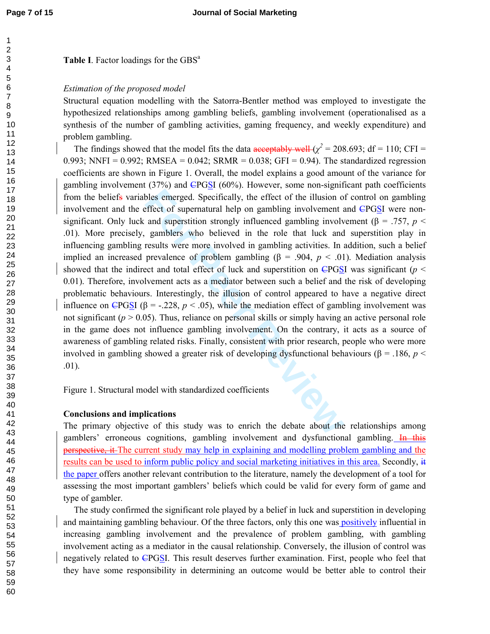# Table I. Factor loadings for the GBS<sup>a</sup>

### *Estimation of the proposed model*

Structural equation modelling with the Satorra-Bentler method was employed to investigate the hypothesized relationships among gambling beliefs, gambling involvement (operationalised as a synthesis of the number of gambling activities, gaming frequency, and weekly expenditure) and problem gambling.

bles emerged. Specifically, the effect of the illusion offect of supernatural help on gambling involvement and superstition strongly influenced gambling involvement and superstition strongly influenced gambling involvemen The findings showed that the model fits the data acceptably well  $(\chi^2 = 208.693; df = 110; CFI =$ 0.993; NNFI = 0.992; RMSEA = 0.042; SRMR = 0.038; GFI = 0.94). The standardized regression coefficients are shown in Figure 1. Overall, the model explains a good amount of the variance for gambling involvement (37%) and CPGSI (60%). However, some non-significant path coefficients from the beliefs variables emerged. Specifically, the effect of the illusion of control on gambling involvement and the effect of supernatural help on gambling involvement and CPGSI were nonsignificant. Only luck and superstition strongly influenced gambling involvement ( $\beta$  = .757, *p* < .01). More precisely, gamblers who believed in the role that luck and superstition play in influencing gambling results were more involved in gambling activities. In addition, such a belief implied an increased prevalence of problem gambling ( $β = .904, p < .01$ ). Mediation analysis showed that the indirect and total effect of luck and superstition on  $CPGSL$  was significant ( $p \leq$ 0.01). Therefore, involvement acts as a mediator between such a belief and the risk of developing problematic behaviours. Interestingly, the illusion of control appeared to have a negative direct influence on  $CPGSL$  ( $\beta$  = -.228,  $p < .05$ ), while the mediation effect of gambling involvement was not significant ( $p > 0.05$ ). Thus, reliance on personal skills or simply having an active personal role in the game does not influence gambling involvement. On the contrary, it acts as a source of awareness of gambling related risks. Finally, consistent with prior research, people who were more involved in gambling showed a greater risk of developing dysfunctional behaviours (β = .186, *p* < .01).

Figure 1. Structural model with standardized coefficients

### **Conclusions and implications**

The primary objective of this study was to enrich the debate about the relationships among gamblers' erroneous cognitions, gambling involvement and dysfunctional gambling. In this perspective, it The current study may help in explaining and modelling problem gambling and the results can be used to inform public policy and social marketing initiatives in this area. Secondly, it the paper offers another relevant contribution to the literature, namely the development of a tool for assessing the most important gamblers' beliefs which could be valid for every form of game and type of gambler.

The study confirmed the significant role played by a belief in luck and superstition in developing and maintaining gambling behaviour. Of the three factors, only this one was positively influential in increasing gambling involvement and the prevalence of problem gambling, with gambling involvement acting as a mediator in the causal relationship. Conversely, the illusion of control was negatively related to CPGSI. This result deserves further examination. First, people who feel that they have some responsibility in determining an outcome would be better able to control their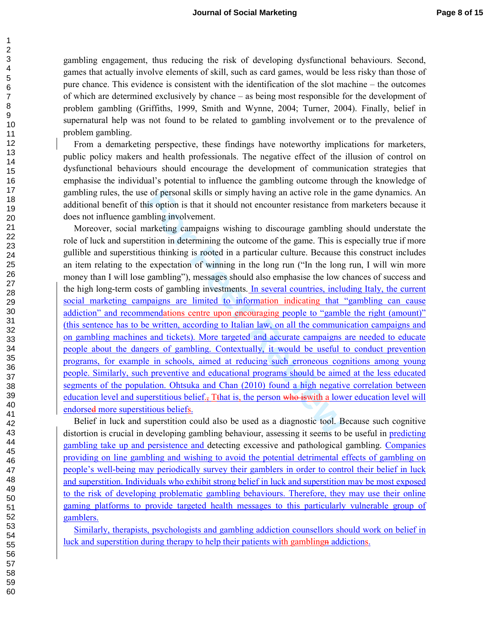gambling engagement, thus reducing the risk of developing dysfunctional behaviours. Second, games that actually involve elements of skill, such as card games, would be less risky than those of pure chance. This evidence is consistent with the identification of the slot machine – the outcomes of which are determined exclusively by chance – as being most responsible for the development of problem gambling (Griffiths, 1999, Smith and Wynne, 2004; Turner, 2004). Finally, belief in supernatural help was not found to be related to gambling involvement or to the prevalence of problem gambling.

From a demarketing perspective, these findings have noteworthy implications for marketers, public policy makers and health professionals. The negative effect of the illusion of control on dysfunctional behaviours should encourage the development of communication strategies that emphasise the individual's potential to influence the gambling outcome through the knowledge of gambling rules, the use of personal skills or simply having an active role in the game dynamics. An additional benefit of this option is that it should not encounter resistance from marketers because it does not influence gambling involvement.

e of personal skills or simply having an active role in this option is that it should not encounter resistance from this option is that it should not encounter resistance from thing involvement.<br>
Harketing campaigns wishin Moreover, social marketing campaigns wishing to discourage gambling should understate the role of luck and superstition in determining the outcome of the game. This is especially true if more gullible and superstitious thinking is rooted in a particular culture. Because this construct includes an item relating to the expectation of winning in the long run ("In the long run, I will win more money than I will lose gambling"), messages should also emphasise the low chances of success and the high long-term costs of gambling investments. In several countries, including Italy, the current social marketing campaigns are limited to information indicating that "gambling can cause addiction" and recommendations centre upon encouraging people to "gamble the right (amount)" (this sentence has to be written, according to Italian law, on all the communication campaigns and on gambling machines and tickets). More targeted and accurate campaigns are needed to educate people about the dangers of gambling. Contextually, it would be useful to conduct prevention programs, for example in schools, aimed at reducing such erroneous cognitions among young people. Similarly, such preventive and educational programs should be aimed at the less educated segments of the population. Ohtsuka and Chan (2010) found a high negative correlation between education level and superstitious belief., Tthat is, the person who is with a lower education level will endorsed more superstitious beliefs.

Belief in luck and superstition could also be used as a diagnostic tool. Because such cognitive distortion is crucial in developing gambling behaviour, assessing it seems to be useful in predicting gambling take up and persistence and detecting excessive and pathological gambling. Companies providing on line gambling and wishing to avoid the potential detrimental effects of gambling on people's well-being may periodically survey their gamblers in order to control their belief in luck and superstition. Individuals who exhibit strong belief in luck and superstition may be most exposed to the risk of developing problematic gambling behaviours. Therefore, they may use their online gaming platforms to provide targeted health messages to this particularly vulnerable group of gamblers.

Similarly, therapists, psychologists and gambling addiction counsellors should work on belief in luck and superstition during therapy to help their patients with gambling addictions.

1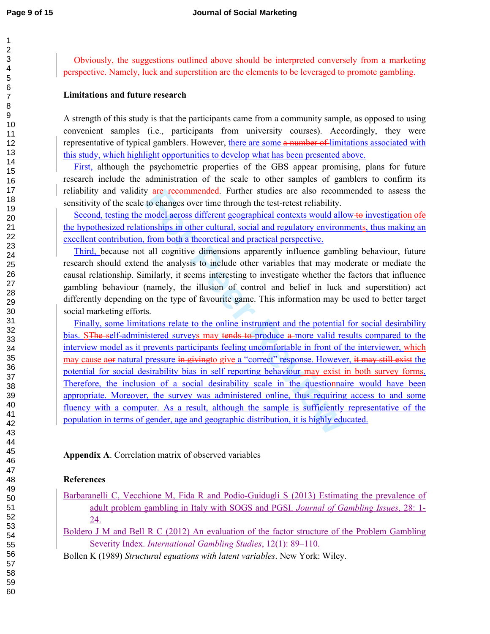Obviously, the suggestions outlined above should be interpreted conversely from a marketing Namely, luck and superstition are the elements to be leveraged to promote gambling.

### **Limitations and future research**

A strength of this study is that the participants came from a community sample, as opposed to using convenient samples (i.e., participants from university courses). Accordingly, they were representative of typical gamblers. However, there are some a number of limitations associated with this study, which highlight opportunities to develop what has been presented above.

First, although the psychometric properties of the GBS appear promising, plans for future research include the administration of the scale to other samples of gamblers to confirm its reliability and validity are recommended. Further studies are also recommended to assess the sensitivity of the scale to changes over time through the test-retest reliability.

Second, testing the model across different geographical contexts would allow to investigation of the hypothesized relationships in other cultural, social and regulatory environments, thus making an excellent contribution, from both a theoretical and practical perspective.

Third, because not all cognitive dimensions apparently influence gambling behaviour, future research should extend the analysis to include other variables that may moderate or mediate the causal relationship. Similarly, it seems interesting to investigate whether the factors that influence gambling behaviour (namely, the illusion of control and belief in luck and superstition) act differently depending on the type of favourite game. This information may be used to better target social marketing efforts.

**Example 1** Further studies are also recommended. Further studies are also recommended to changes over time through the test-retest reliability. model across different geographical contexts would allo onships in other cult Finally, some limitations relate to the online instrument and the potential for social desirability bias. SThe self-administered surveys may tends to produce a more valid results compared to the interview model as it prevents participants feeling uncomfortable in front of the interviewer, which may cause aor natural pressure in givingto give a "correct" response. However, it may still exist the potential for social desirability bias in self reporting behaviour may exist in both survey forms. Therefore, the inclusion of a social desirability scale in the question naire would have been appropriate. Moreover, the survey was administered online, thus requiring access to and some fluency with a computer. As a result, although the sample is sufficiently representative of the population in terms of gender, age and geographic distribution, it is highly educated.

**Appendix A**. Correlation matrix of observed variables

### **References**

Barbaranelli C, Vecchione M, Fida R and Podio-Guidugli S (2013) Estimating the prevalence of adult problem gambling in Italy with SOGS and PGSI. *Journal of Gambling Issues*, 28: 1- 24.

Boldero J M and Bell R C (2012) An evaluation of the factor structure of the Problem Gambling Severity Index. *International Gambling Studies*, 12(1): 89–110.

Bollen K (1989) *Structural equations with latent variables*. New York: Wiley.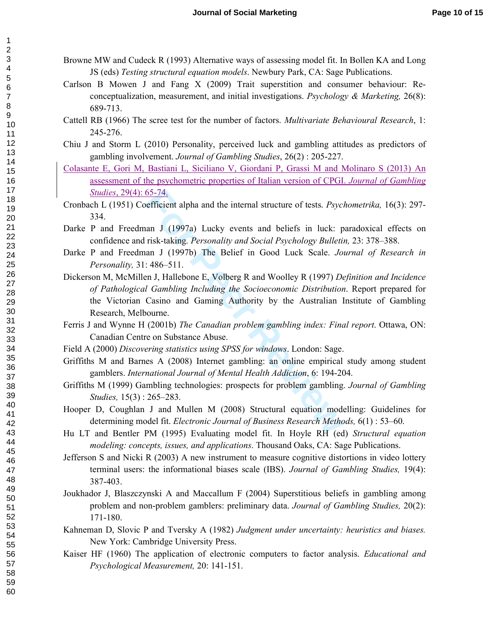- Browne MW and Cudeck R (1993) Alternative ways of assessing model fit. In Bollen KA and Long JS (eds) *Testing structural equation models*. Newbury Park, CA: Sage Publications.
- Carlson B Mowen J and Fang X (2009) Trait superstition and consumer behaviour: Reconceptualization, measurement, and initial investigations. *Psychology & Marketing,* 26(8): 689-713.
- Cattell RB (1966) The scree test for the number of factors. *Multivariate Behavioural Research*, 1: 245-276.
- Chiu J and Storm L (2010) Personality, perceived luck and gambling attitudes as predictors of gambling involvement. *Journal of Gambling Studies*, 26(2) : 205-227.
- Colasante E, Gori M, Bastiani L, Siciliano V, Giordani P, Grassi M and Molinaro S (2013) An assessment of the psychometric properties of Italian version of CPGI. *Journal of Gambling Studies*, 29(4): 65-74.
- Cronbach L (1951) Coefficient alpha and the internal structure of tests. *Psychometrika,* 16(3): 297- 334.
- Darke P and Freedman J (1997a) Lucky events and beliefs in luck: paradoxical effects on confidence and risk-taking. *Personality and Social Psychology Bulletin,* 23: 378–388.
- Darke P and Freedman J (1997b) The Belief in Good Luck Scale. *Journal of Research in Personality,* 31: 486–511.
- 65-74.<br> **Formally and the internal structure of tests.** *Psych*<br> **Formally All 2013** Lucky events and beliefs in luck: p<br> **Fisk-taking.** *Personality and Social Psychology Bulletii***<br>
and J (1997b) The Belief in Good Luck Sc** Dickerson M, McMillen J, Hallebone E, Volberg R and Woolley R (1997) *Definition and Incidence of Pathological Gambling Including the Socioeconomic Distribution*. Report prepared for the Victorian Casino and Gaming Authority by the Australian Institute of Gambling Research, Melbourne.
- Ferris J and Wynne H (2001b) *The Canadian problem gambling index: Final report*. Ottawa, ON: Canadian Centre on Substance Abuse.
- Field A (2000) *Discovering statistics using SPSS for windows*. London: Sage.
- Griffiths M and Barnes A (2008) Internet gambling: an online empirical study among student gamblers. *International Journal of Mental Health Addiction*, 6: 194-204.
- Griffiths M (1999) Gambling technologies: prospects for problem gambling. *Journal of Gambling Studies,* 15(3) : 265–283.
- Hooper D, Coughlan J and Mullen M (2008) Structural equation modelling: Guidelines for determining model fit. *Electronic Journal of Business Research Methods,* 6(1) : 53–60.
- Hu LT and Bentler PM (1995) Evaluating model fit. In Hoyle RH (ed) *Structural equation modeling: concepts, issues, and applications*. Thousand Oaks, CA: Sage Publications.
- Jefferson S and Nicki R (2003) A new instrument to measure cognitive distortions in video lottery terminal users: the informational biases scale (IBS). *Journal of Gambling Studies,* 19(4): 387-403.
- Joukhador J, Blaszczynski A and Maccallum F (2004) Superstitious beliefs in gambling among problem and non-problem gamblers: preliminary data. *Journal of Gambling Studies,* 20(2): 171-180.
- Kahneman D, Slovic P and Tversky A (1982) *Judgment under uncertainty: heuristics and biases.* New York: Cambridge University Press.
- Kaiser HF (1960) The application of electronic computers to factor analysis. *Educational and Psychological Measurement,* 20: 141-151.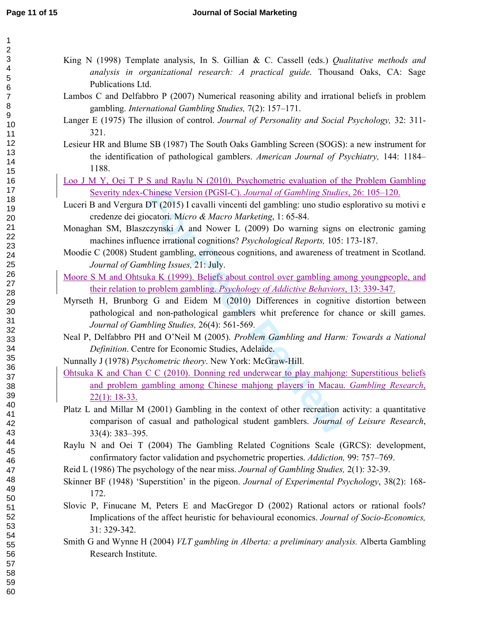- King N (1998) Template analysis, In S. Gillian & C. Cassell (eds.) *Qualitative methods and analysis in organizational research: A practical guide*. Thousand Oaks, CA: Sage Publications Ltd.
- Lambos C and Delfabbro P (2007) Numerical reasoning ability and irrational beliefs in problem gambling. *International Gambling Studies,* 7(2): 157–171.
- Langer E (1975) The illusion of control. *Journal of Personality and Social Psychology,* 32: 311- 321.
- Lesieur HR and Blume SB (1987) The South Oaks Gambling Screen (SOGS): a new instrument for the identification of pathological gamblers. *American Journal of Psychiatry,* 144: 1184– 1188.
- Loo J M Y, Oei T P S and Raylu N (2010). Psychometric evaluation of the Problem Gambling Severity ndex-Chinese Version (PGSI-C). *Journal of Gambling Studies*, 26: 105–120.
- Luceri B and Vergura DT (2015) I cavalli vincenti del gambling: uno studio esplorativo su motivi e credenze dei giocatori. M*icro & Macro Marketing*, 1: 65-84.
- Monaghan SM, Blaszczynski A and Nower L (2009) Do warning signs on electronic gaming machines influence irrational cognitions? *Psychological Reports,* 105: 173-187.
- Moodie C (2008) Student gambling, erroneous cognitions, and awareness of treatment in Scotland. *Journal of Gambling Issues,* 21: July.
- Moore S M and Ohtsuka K (1999). Beliefs about control over gambling among youngpeople, and their relation to problem gambling. *Psychology of Addictive Behaviors*, 13: 339-347.
- Myrseth H, Brunborg G and Eidem M (2010) Differences in cognitive distortion between pathological and non-pathological gamblers whit preference for chance or skill games. *Journal of Gambling Studies,* 26(4): 561-569.
- Neal P, Delfabbro PH and O'Neil M (2005). *Problem Gambling and Harm: Towards a National Definition*. Centre for Economic Studies, Adelaide.
- Nunnally J (1978) *Psychometric theory*. New York: McGraw-Hill.
- Chinese Version (PGSI-C). Journal of Gambling Studie<br>DT (2015) I cavalli vincenti del gambling: uno studio eocatori. Micro & Macro Marketing, 1: 65-84.<br>
Eczynski A and Nower L (2009) Do warning signs<br>
since irrational cogn Ohtsuka K and Chan C C (2010). Donning red underwear to play mahjong: Superstitious beliefs and problem gambling among Chinese mahjong players in Macau. *Gambling Research*, 22(1): 18-33.
- Platz L and Millar M (2001) Gambling in the context of other recreation activity: a quantitative comparison of casual and pathological student gamblers. *Journal of Leisure Research*, 33(4): 383–395.
- Raylu N and Oei T (2004) The Gambling Related Cognitions Scale (GRCS): development, confirmatory factor validation and psychometric properties. *Addiction,* 99: 757–769.
- Reid L (1986) The psychology of the near miss. *Journal of Gambling Studies,* 2(1): 32-39.
- Skinner BF (1948) 'Superstition' in the pigeon. *Journal of Experimental Psychology*, 38(2): 168- 172.
- Slovic P, Finucane M, Peters E and MacGregor D (2002) Rational actors or rational fools? Implications of the affect heuristic for behavioural economics. *Journal of Socio-Economics,*  31: 329-342.
- Smith G and Wynne H (2004) *VLT gambling in Alberta: a preliminary analysis.* Alberta Gambling Research Institute.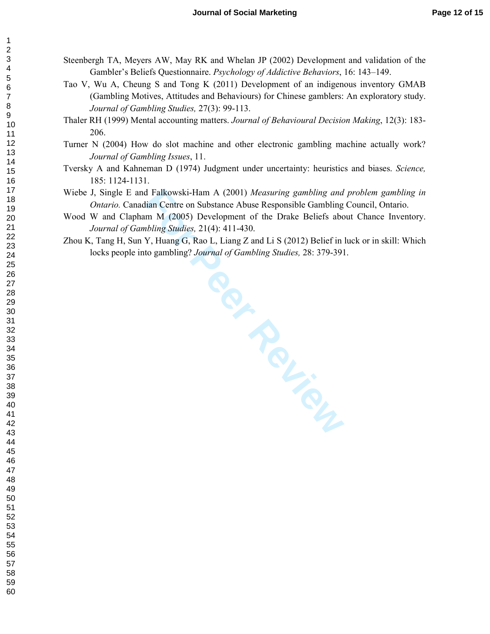- Steenbergh TA, Meyers AW, May RK and Whelan JP (2002) Development and validation of the Gambler's Beliefs Questionnaire. *Psychology of Addictive Behaviors*, 16: 143–149.
	- Tao V, Wu A, Cheung S and Tong K (2011) Development of an indigenous inventory GMAB (Gambling Motives, Attitudes and Behaviours) for Chinese gamblers: An exploratory study. *Journal of Gambling Studies,* 27(3): 99-113.
	- Thaler RH (1999) Mental accounting matters. *Journal of Behavioural Decision Making*, 12(3): 183- 206.
	- Turner N (2004) How do slot machine and other electronic gambling machine actually work? *Journal of Gambling Issues*, 11.
- Tversky A and Kahneman D (1974) Judgment under uncertainty: heuristics and biases. *Science,*  185: 1124-1131.
- Wiebe J, Single E and Falkowski-Ham A (2001) *Measuring gambling and problem gambling in Ontario.* Canadian Centre on Substance Abuse Responsible Gambling Council, Ontario.
- Wood W and Clapham M (2005) Development of the Drake Beliefs about Chance Inventory. *Journal of Gambling Studies,* 21(4): 411-430.
- Zhou K, Tang H, Sun Y, Huang G, Rao L, Liang Z and Li S (2012) Belief in luck or in skill: Which locks people into gambling? *Journal of Gambling Studies,* 28: 379-391.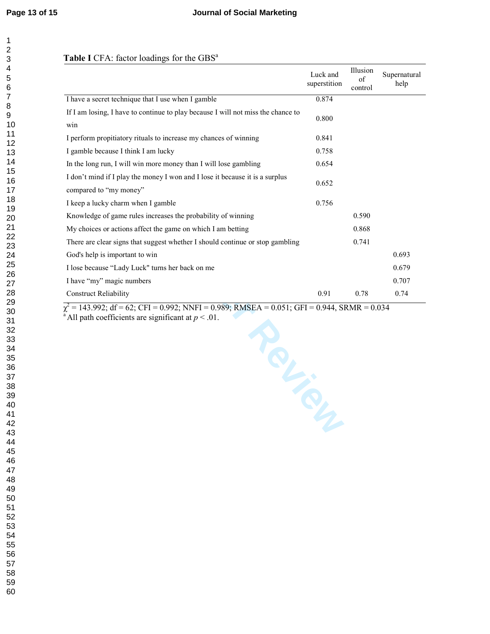# Table I CFA: factor loadings for the GBS<sup>a</sup>

| Luck and<br>superstition | Illusion<br>of<br>control | Supernatural<br>help                                                                                         |
|--------------------------|---------------------------|--------------------------------------------------------------------------------------------------------------|
| 0.874                    |                           |                                                                                                              |
| 0.800                    |                           |                                                                                                              |
| 0.841                    |                           |                                                                                                              |
| 0.758                    |                           |                                                                                                              |
| 0.654                    |                           |                                                                                                              |
| 0.652                    |                           |                                                                                                              |
| 0.756                    |                           |                                                                                                              |
|                          | 0.590                     |                                                                                                              |
|                          | 0.868                     |                                                                                                              |
|                          | 0.741                     |                                                                                                              |
|                          |                           | 0.693                                                                                                        |
|                          |                           | 0.679                                                                                                        |
|                          |                           | 0.707                                                                                                        |
| 0.91                     | 0.78                      | 0.74                                                                                                         |
|                          |                           |                                                                                                              |
|                          |                           |                                                                                                              |
|                          |                           | $\chi^2$ = 143.992; df = 62; CFI = 0.992; NNFI = 0.989; RMSEA = 0.051; GFI = 0.944, SRMR = 0.034<br>Religion |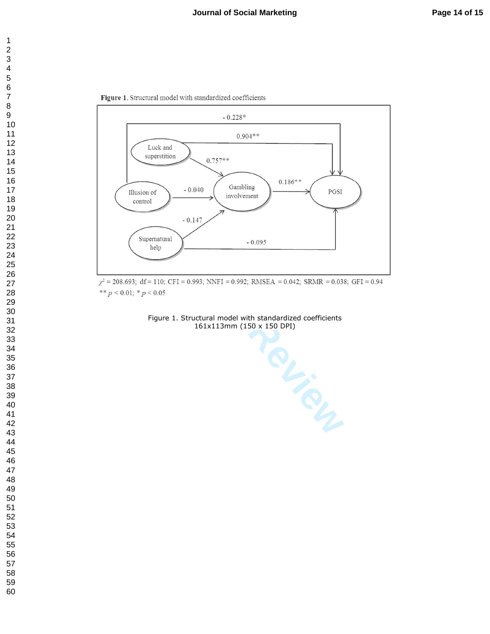